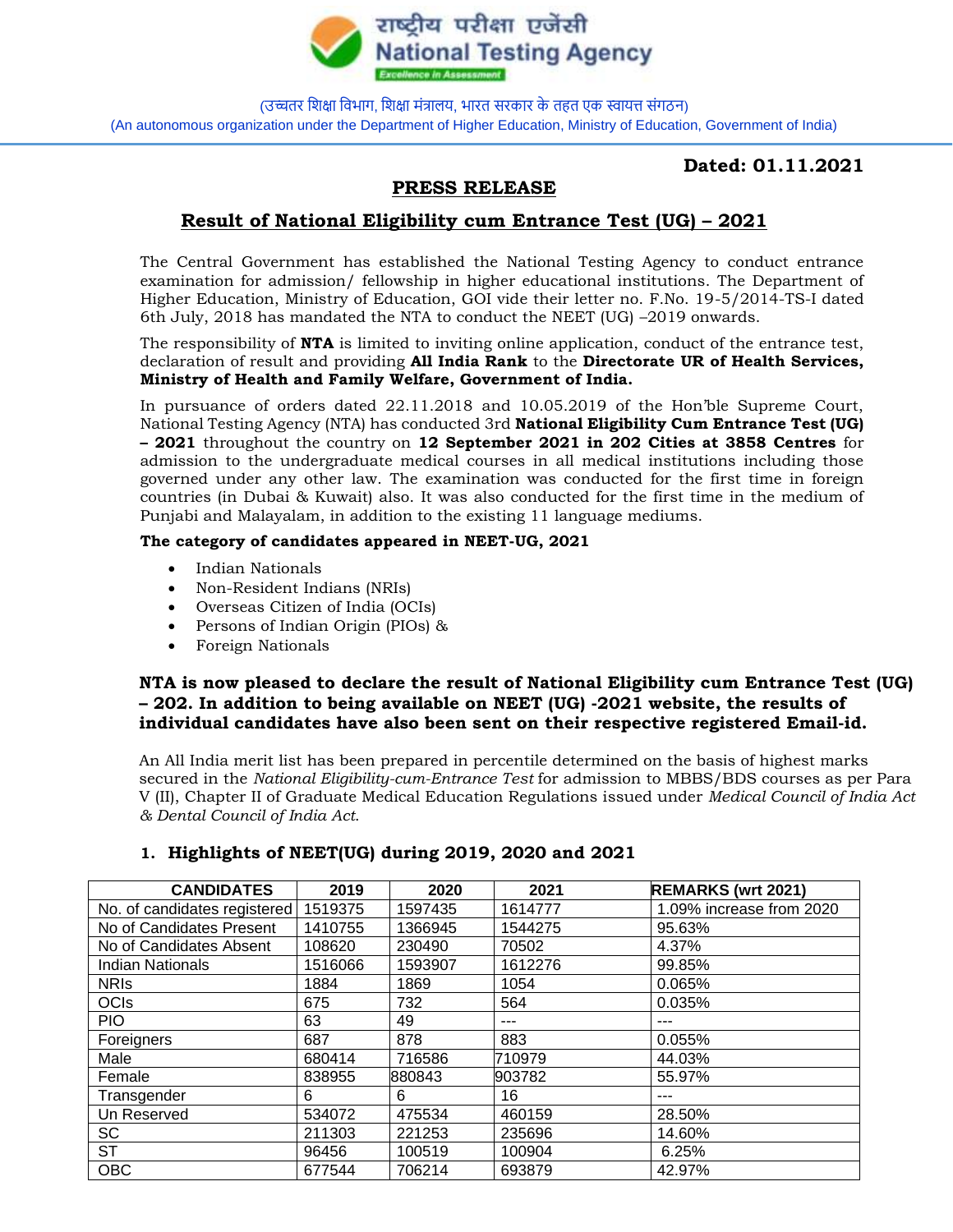

(उच्चतर शिक्षा शिभाग, शिक्षा मंत्रालय, भारत सरकार के तहत एक स्वायत्त संगठन) (An autonomous organization under the Department of Higher Education, Ministry of Education, Government of India)

### **Dated: 01.11.2021**

# **PRESS RELEASE**

# **Result of National Eligibility cum Entrance Test (UG) – 2021**

The Central Government has established the National Testing Agency to conduct entrance examination for admission/ fellowship in higher educational institutions. The Department of Higher Education, Ministry of Education, GOI vide their letter no. F.No. 19-5/2014-TS-I dated 6th July, 2018 has mandated the NTA to conduct the NEET (UG) –2019 onwards.

The responsibility of **NTA** is limited to inviting online application, conduct of the entrance test, declaration of result and providing **All India Rank** to the **Directorate UR of Health Services, Ministry of Health and Family Welfare, Government of India.** 

In pursuance of orders dated 22.11.2018 and 10.05.2019 of the Hon'ble Supreme Court, National Testing Agency (NTA) has conducted 3rd **National Eligibility Cum Entrance Test (UG) – 2021** throughout the country on **12 September 2021 in 202 Cities at 3858 Centres** for admission to the undergraduate medical courses in all medical institutions including those governed under any other law. The examination was conducted for the first time in foreign countries (in Dubai & Kuwait) also. It was also conducted for the first time in the medium of Punjabi and Malayalam, in addition to the existing 11 language mediums.

#### **The category of candidates appeared in NEET-UG, 2021**

- Indian Nationals
- Non-Resident Indians (NRIs)
- Overseas Citizen of India (OCIs)
- Persons of Indian Origin (PIOs) &
- Foreign Nationals

### **NTA is now pleased to declare the result of National Eligibility cum Entrance Test (UG) – 202. In addition to being available on NEET (UG) -2021 website, the results of individual candidates have also been sent on their respective registered Email-id.**

An All India merit list has been prepared in percentile determined on the basis of highest marks secured in the *National Eligibility-cum-Entrance Test* for admission to MBBS/BDS courses as per Para V (II), Chapter II of Graduate Medical Education Regulations issued under *Medical Council of India Act & Dental Council of India Act*.

| <b>CANDIDATES</b>            | 2019    | 2020    | 2021    | <b>REMARKS (wrt 2021)</b> |
|------------------------------|---------|---------|---------|---------------------------|
| No. of candidates registered | 1519375 | 1597435 | 1614777 | 1.09% increase from 2020  |
| No of Candidates Present     | 1410755 | 1366945 | 1544275 | 95.63%                    |
| No of Candidates Absent      | 108620  | 230490  | 70502   | 4.37%                     |
| Indian Nationals             | 1516066 | 1593907 | 1612276 | 99.85%                    |
| <b>NRIS</b>                  | 1884    | 1869    | 1054    | 0.065%                    |
| <b>OCIs</b>                  | 675     | 732     | 564     | 0.035%                    |
| <b>PIO</b>                   | 63      | 49      | ---     | ---                       |
| Foreigners                   | 687     | 878     | 883     | 0.055%                    |
| Male                         | 680414  | 716586  | 710979  | 44.03%                    |
| Female                       | 838955  | 880843  | 903782  | 55.97%                    |
| Transgender                  | 6       | 6       | 16      | ---                       |
| Un Reserved                  | 534072  | 475534  | 460159  | 28.50%                    |
| SC                           | 211303  | 221253  | 235696  | 14.60%                    |
| <b>ST</b>                    | 96456   | 100519  | 100904  | 6.25%                     |
| <b>OBC</b>                   | 677544  | 706214  | 693879  | 42.97%                    |

### **1. Highlights of NEET(UG) during 2019, 2020 and 2021**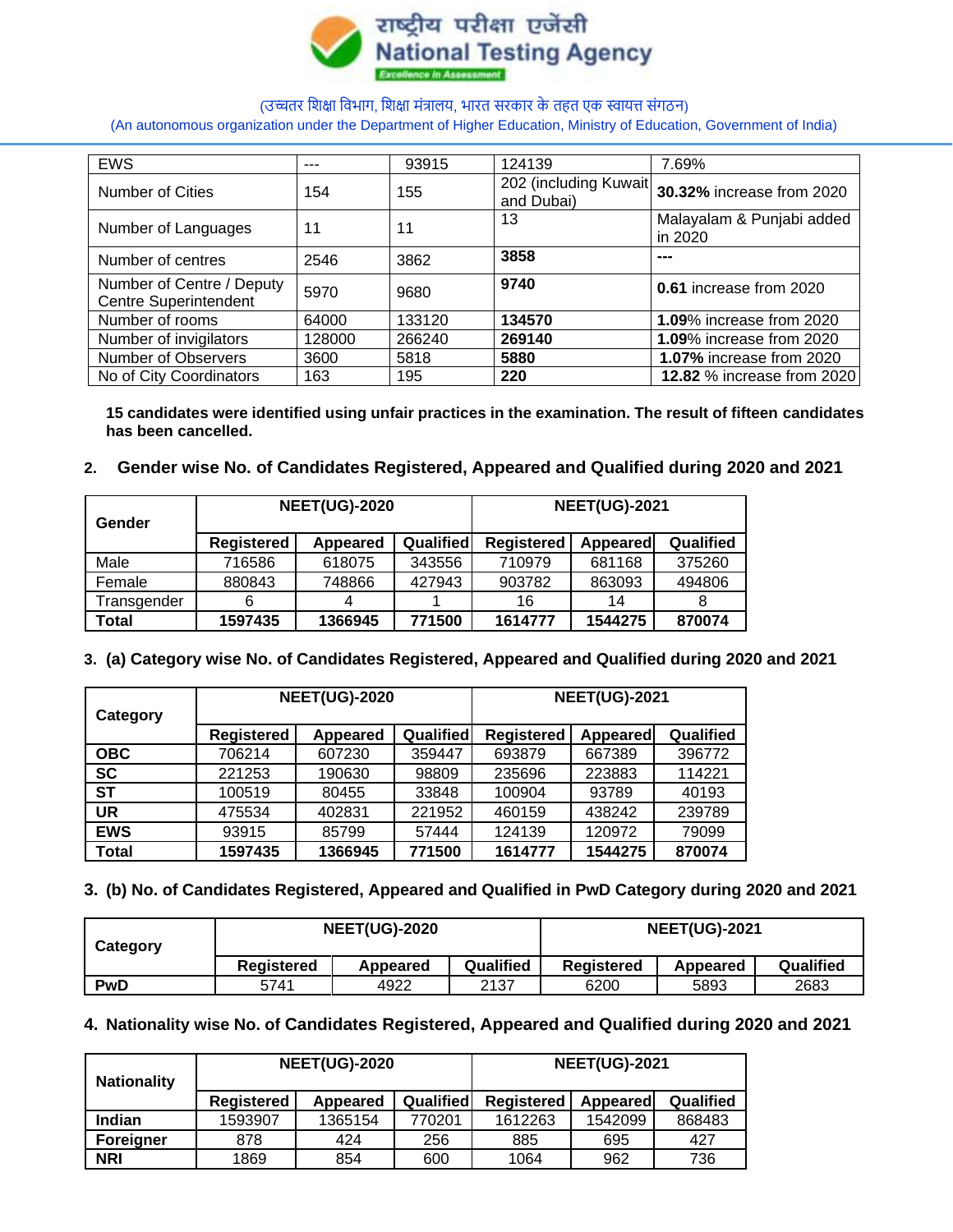

(An autonomous organization under the Department of Higher Education, Ministry of Education, Government of India)

| <b>EWS</b>                                                | ---    | 93915  | 124139                              | 7.69%                                |
|-----------------------------------------------------------|--------|--------|-------------------------------------|--------------------------------------|
| <b>Number of Cities</b>                                   | 154    | 155    | 202 (including Kuwait<br>and Dubai) | 30.32% increase from 2020            |
| Number of Languages                                       | 11     | 11     | 13                                  | Malayalam & Punjabi added<br>in 2020 |
| Number of centres                                         | 2546   | 3862   | 3858                                | ---                                  |
| Number of Centre / Deputy<br><b>Centre Superintendent</b> | 5970   | 9680   | 9740                                | 0.61 increase from 2020              |
| Number of rooms                                           | 64000  | 133120 | 134570                              | <b>1.09% increase from 2020</b>      |
| Number of invigilators                                    | 128000 | 266240 | 269140                              | <b>1.09%</b> increase from 2020      |
| <b>Number of Observers</b>                                | 3600   | 5818   | 5880                                | <b>1.07%</b> increase from 2020      |
| No of City Coordinators                                   | 163    | 195    | 220                                 | <b>12.82 % increase from 2020</b>    |

**15 candidates were identified using unfair practices in the examination. The result of fifteen candidates has been cancelled.** 

#### **2. Gender wise No. of Candidates Registered, Appeared and Qualified during 2020 and 2021**

| Gender      |                   | <b>NEET(UG)-2020</b> |           | <b>NEET(UG)-2021</b> |                 |           |  |
|-------------|-------------------|----------------------|-----------|----------------------|-----------------|-----------|--|
|             | <b>Registered</b> | Appeared             | Qualified | <b>Registered</b>    | <b>Appeared</b> | Qualified |  |
| Male        | 716586            | 618075               | 343556    | 710979               | 681168          | 375260    |  |
| Female      | 880843            | 748866               | 427943    | 903782               | 863093          | 494806    |  |
| Transgender | 6                 | 4                    |           | 16                   | 14              |           |  |
| Total       | 1597435           | 1366945              | 771500    | 1614777              | 1544275         | 870074    |  |

### **3. (a) Category wise No. of Candidates Registered, Appeared and Qualified during 2020 and 2021**

| Category   |                   | <b>NEET(UG)-2020</b> |                  | <b>NEET(UG)-2021</b> |                 |           |  |
|------------|-------------------|----------------------|------------------|----------------------|-----------------|-----------|--|
|            | <b>Registered</b> | Appeared             | <b>Qualified</b> | <b>Registered</b>    | <b>Appeared</b> | Qualified |  |
| <b>OBC</b> | 706214            | 607230               | 359447           | 693879               | 667389          | 396772    |  |
| <b>SC</b>  | 221253            | 190630               | 98809            | 235696               | 223883          | 114221    |  |
| <b>ST</b>  | 100519            | 80455                | 33848            | 100904               | 93789           | 40193     |  |
| UR         | 475534            | 402831               | 221952           | 460159               | 438242          | 239789    |  |
| <b>EWS</b> | 93915             | 85799                | 57444            | 124139               | 120972          | 79099     |  |
| Total      | 1597435           | 1366945              | 771500           | 1614777              | 1544275         | 870074    |  |

#### **3. (b) No. of Candidates Registered, Appeared and Qualified in PwD Category during 2020 and 2021**

| Category   |            | <b>NEET(UG)-2020</b> |           | <b>NEET(UG)-2021</b> |          |           |  |
|------------|------------|----------------------|-----------|----------------------|----------|-----------|--|
|            | Registered | Appeared             | Qualified | Registered           | Appeared | Qualified |  |
| <b>PwD</b> | 5741       | 4922                 | 2137      | 6200                 | 5893     | 2683      |  |

### **4. Nationality wise No. of Candidates Registered, Appeared and Qualified during 2020 and 2021**

| <b>Nationality</b> |                   | <b>NEET(UG)-2020</b> |           | <b>NEET(UG)-2021</b> |                 |           |  |
|--------------------|-------------------|----------------------|-----------|----------------------|-----------------|-----------|--|
|                    | <b>Registered</b> | Appeared             | Qualified | <b>Registered</b>    | <b>Appeared</b> | Qualified |  |
| Indian             | 1593907           | 1365154              | 770201    | 1612263              | 1542099         | 868483    |  |
| <b>Foreigner</b>   | 878               | 424                  | 256       | 885                  | 695             | 427       |  |
| <b>NRI</b>         | 1869              | 854                  | 600       | 1064                 | 962             | 736       |  |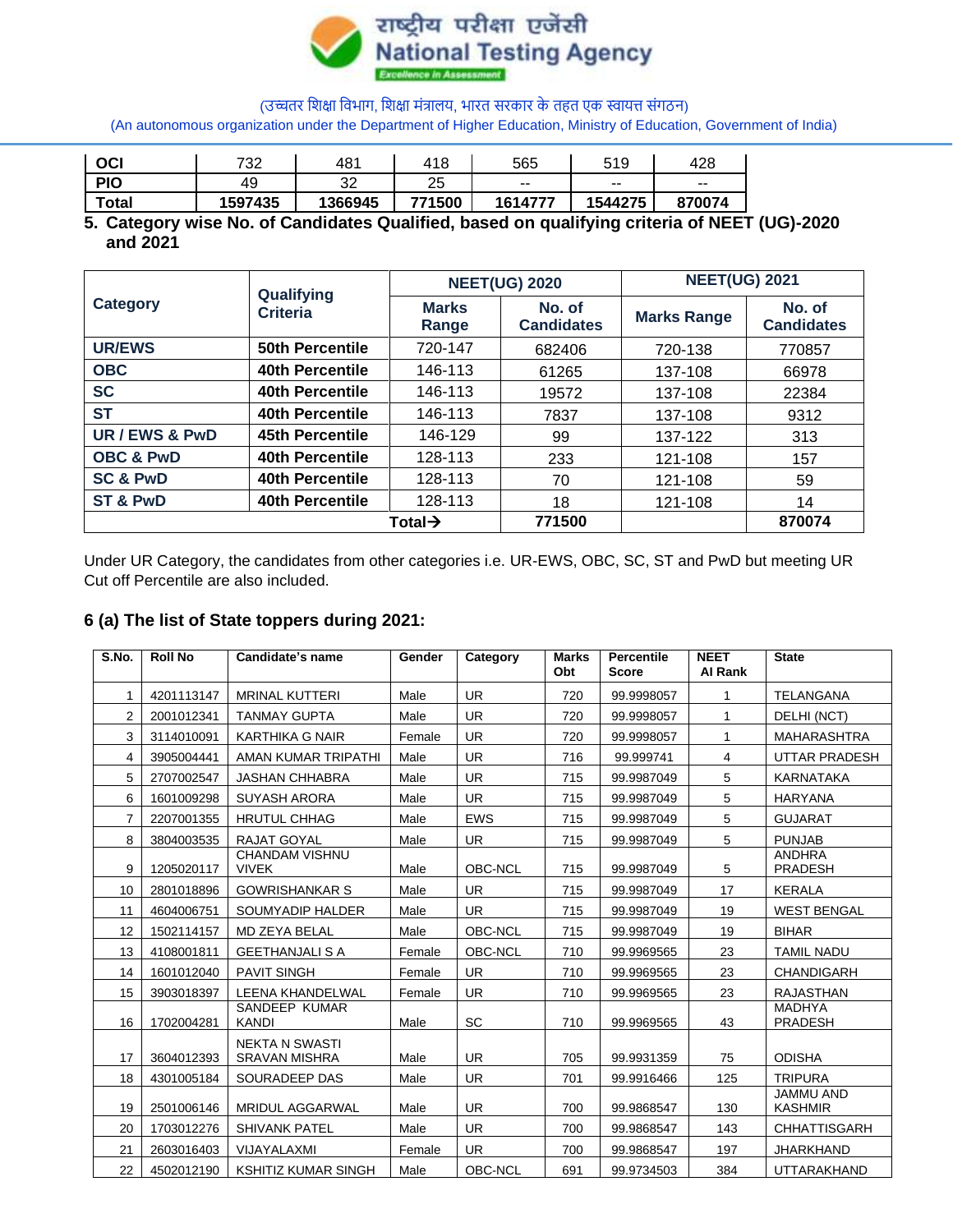

(An autonomous organization under the Department of Higher Education, Ministry of Education, Government of India)

| OCI         | 732     | 481     | 418      | 565                      | 519                      | 428                      |
|-------------|---------|---------|----------|--------------------------|--------------------------|--------------------------|
| <b>PIO</b>  | 49      | ົ<br>ັ້ | つに<br>∠∪ | $\overline{\phantom{m}}$ | $\overline{\phantom{a}}$ | $\overline{\phantom{a}}$ |
| $\tau$ otal | 1597435 | 366945  | 771500   | 1614777                  | 1544275                  | 870074                   |

### **5. Category wise No. of Candidates Qualified, based on qualifying criteria of NEET (UG)-2020 and 2021**

| <b>Category</b>      | Qualifying             |                       | <b>NEET(UG) 2020</b>        | <b>NEET(UG) 2021</b> |                             |  |
|----------------------|------------------------|-----------------------|-----------------------------|----------------------|-----------------------------|--|
|                      | <b>Criteria</b>        | <b>Marks</b><br>Range | No. of<br><b>Candidates</b> | <b>Marks Range</b>   | No. of<br><b>Candidates</b> |  |
| <b>UR/EWS</b>        | <b>50th Percentile</b> | 720-147               | 682406                      | 720-138              | 770857                      |  |
| <b>OBC</b>           | 40th Percentile        | 146-113               | 61265                       | 137-108              | 66978                       |  |
| <b>SC</b>            | 40th Percentile        | 146-113               | 19572                       | 137-108              | 22384                       |  |
| <b>ST</b>            | 40th Percentile        | 146-113               | 7837                        | 137-108              | 9312                        |  |
| UR / EWS & PwD       | 45th Percentile        | 146-129               | 99                          | 137-122              | 313                         |  |
| <b>OBC &amp; PwD</b> | 40th Percentile        | 128-113               | 233                         | 121-108              | 157                         |  |
| <b>SC &amp; PwD</b>  | 40th Percentile        | 128-113               | 70                          | 121-108              | 59                          |  |
| ST & PwD             | 40th Percentile        | 128-113               | 18                          | 121-108              | 14                          |  |
|                      |                        | Total $\rightarrow$   | 771500                      |                      | 870074                      |  |

Under UR Category, the candidates from other categories i.e. UR-EWS, OBC, SC, ST and PwD but meeting UR Cut off Percentile are also included.

### **6 (a) The list of State toppers during 2021:**

| S.No.          | <b>Roll No</b> | Candidate's name                       | Gender | Category   | <b>Marks</b><br>Obt | <b>Percentile</b><br><b>Score</b> | <b>NEET</b><br><b>Al Rank</b> | <b>State</b>                    |
|----------------|----------------|----------------------------------------|--------|------------|---------------------|-----------------------------------|-------------------------------|---------------------------------|
| 1              | 4201113147     | <b>MRINAL KUTTERI</b>                  | Male   | <b>UR</b>  | 720                 | 99.9998057                        | 1                             | TELANGANA                       |
| $\overline{2}$ | 2001012341     | <b>TANMAY GUPTA</b>                    | Male   | <b>UR</b>  | 720                 | 99.9998057                        | $\mathbf{1}$                  | DELHI (NCT)                     |
| 3              | 3114010091     | <b>KARTHIKA G NAIR</b>                 | Female | <b>UR</b>  | 720                 | 99.9998057                        | 1                             | <b>MAHARASHTRA</b>              |
| 4              | 3905004441     | AMAN KUMAR TRIPATHI                    | Male   | <b>UR</b>  | 716                 | 99.999741                         | 4                             | <b>UTTAR PRADESH</b>            |
| 5              | 2707002547     | <b>JASHAN CHHABRA</b>                  | Male   | <b>UR</b>  | 715                 | 99.9987049                        | 5                             | KARNATAKA                       |
| 6              | 1601009298     | <b>SUYASH ARORA</b>                    | Male   | <b>UR</b>  | 715                 | 99.9987049                        | 5                             | <b>HARYANA</b>                  |
| $\overline{7}$ | 2207001355     | <b>HRUTUL CHHAG</b>                    | Male   | <b>EWS</b> | 715                 | 99.9987049                        | 5                             | <b>GUJARAT</b>                  |
| 8              | 3804003535     | RAJAT GOYAL                            | Male   | <b>UR</b>  | 715                 | 99.9987049                        | 5                             | <b>PUNJAB</b>                   |
| 9              | 1205020117     | <b>CHANDAM VISHNU</b><br><b>VIVEK</b>  | Male   | OBC-NCL    | 715                 | 99.9987049                        | 5                             | <b>ANDHRA</b><br><b>PRADESH</b> |
| 10             | 2801018896     | <b>GOWRISHANKAR S</b>                  | Male   | <b>UR</b>  | 715                 | 99.9987049                        | 17                            | <b>KERALA</b>                   |
| 11             | 4604006751     | <b>SOUMYADIP HALDER</b>                | Male   | <b>UR</b>  | 715                 | 99.9987049                        | 19                            | <b>WEST BENGAL</b>              |
| 12             | 1502114157     | MD ZEYA BELAL                          | Male   | OBC-NCL    | 715                 | 99.9987049                        | 19                            | <b>BIHAR</b>                    |
| 13             | 4108001811     | <b>GEETHANJALI S A</b>                 | Female | OBC-NCL    | 710                 | 99.9969565                        | 23                            | <b>TAMIL NADU</b>               |
| 14             | 1601012040     | <b>PAVIT SINGH</b>                     | Female | <b>UR</b>  | 710                 | 99.9969565                        | 23                            | CHANDIGARH                      |
| 15             | 3903018397     | LEENA KHANDELWAL                       | Female | <b>UR</b>  | 710                 | 99.9969565                        | 23                            | <b>RAJASTHAN</b>                |
| 16             | 1702004281     | SANDEEP KUMAR<br><b>KANDI</b>          | Male   | SC         | 710                 | 99.9969565                        | 43                            | <b>MADHYA</b><br><b>PRADESH</b> |
| 17             | 3604012393     | <b>NEKTA N SWASTI</b><br>SRAVAN MISHRA | Male   | <b>UR</b>  | 705                 | 99.9931359                        | 75                            | <b>ODISHA</b>                   |
| 18             | 4301005184     | SOURADEEP DAS                          | Male   | <b>UR</b>  | 701                 | 99.9916466                        | 125                           | <b>TRIPURA</b>                  |
| 19             | 2501006146     | <b>MRIDUL AGGARWAL</b>                 | Male   | <b>UR</b>  | 700                 | 99.9868547                        | 130                           | JAMMU AND<br><b>KASHMIR</b>     |
| 20             | 1703012276     | <b>SHIVANK PATEL</b>                   | Male   | <b>UR</b>  | 700                 | 99.9868547                        | 143                           | <b>CHHATTISGARH</b>             |
| 21             | 2603016403     | VIJAYALAXMI                            | Female | <b>UR</b>  | 700                 | 99.9868547                        | 197                           | <b>JHARKHAND</b>                |
| 22             | 4502012190     | KSHITIZ KUMAR SINGH                    | Male   | OBC-NCL    | 691                 | 99.9734503                        | 384                           | <b>UTTARAKHAND</b>              |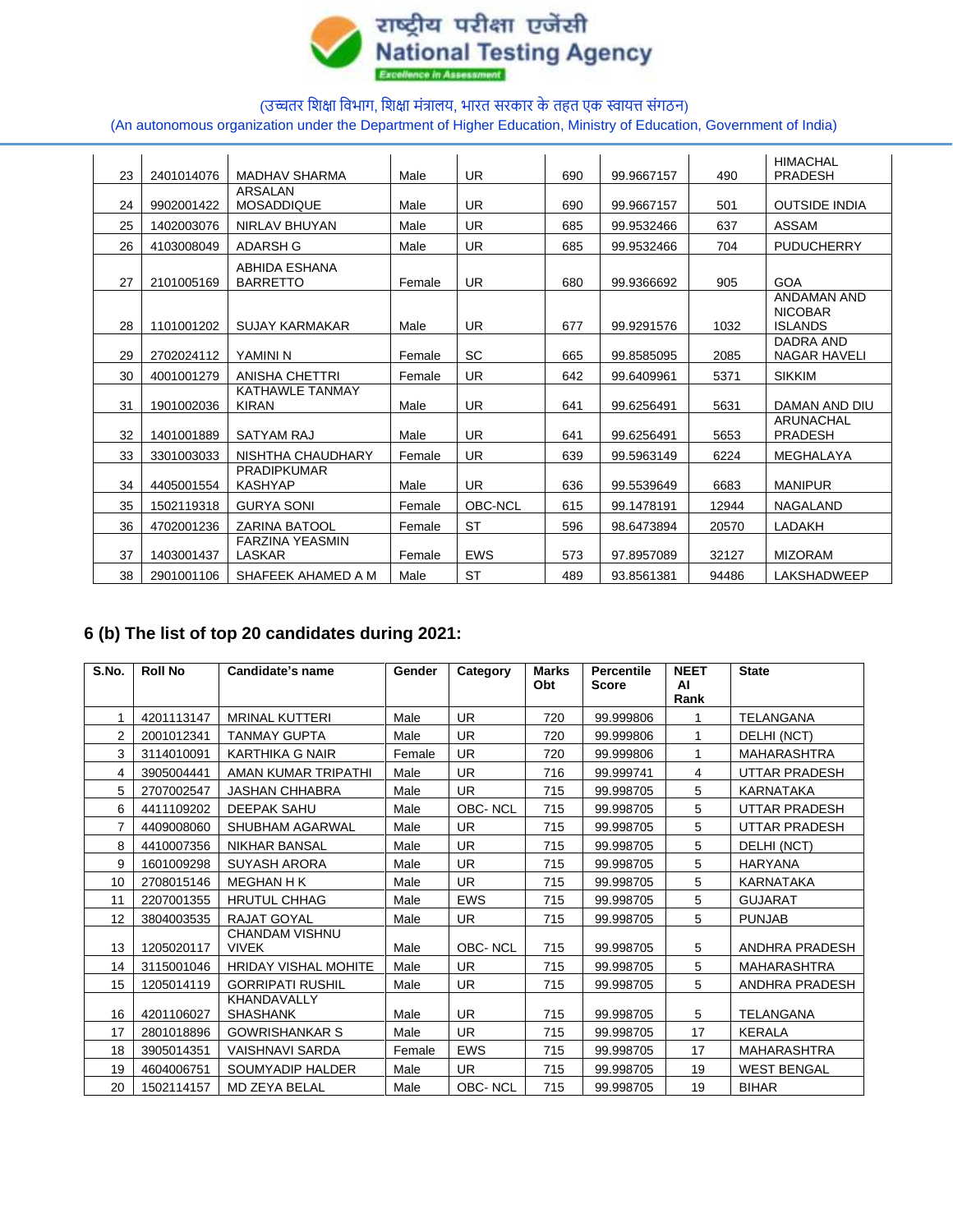

# (उच्चतर शिक्षा शिभाग, शिक्षा मंत्रालय, भारत सरकार के तहत एक स्वायत्त संगठन) (An autonomous organization under the Department of Higher Education, Ministry of Education, Government of India)

| 23 | 2401014076 | <b>MADHAV SHARMA</b>                   | Male   | <b>UR</b>  | 690 | 99.9667157 | 490   | <b>HIMACHAL</b><br><b>PRADESH</b>                      |
|----|------------|----------------------------------------|--------|------------|-----|------------|-------|--------------------------------------------------------|
| 24 | 9902001422 | ARSALAN<br><b>MOSADDIQUE</b>           | Male   | <b>UR</b>  | 690 | 99.9667157 | 501   | <b>OUTSIDE INDIA</b>                                   |
| 25 | 1402003076 | <b>NIRLAV BHUYAN</b>                   | Male   | <b>UR</b>  | 685 | 99.9532466 | 637   | <b>ASSAM</b>                                           |
| 26 | 4103008049 | ADARSH G                               | Male   | <b>UR</b>  | 685 | 99.9532466 | 704   | <b>PUDUCHERRY</b>                                      |
| 27 | 2101005169 | ABHIDA ESHANA<br><b>BARRETTO</b>       | Female | <b>UR</b>  | 680 | 99.9366692 | 905   | GOA                                                    |
| 28 | 1101001202 | <b>SUJAY KARMAKAR</b>                  | Male   | <b>UR</b>  | 677 | 99.9291576 | 1032  | <b>ANDAMAN AND</b><br><b>NICOBAR</b><br><b>ISLANDS</b> |
| 29 | 2702024112 | YAMINI N                               | Female | SC         | 665 | 99.8585095 | 2085  | DADRA AND<br><b>NAGAR HAVELI</b>                       |
| 30 | 4001001279 | <b>ANISHA CHETTRI</b>                  | Female | <b>UR</b>  | 642 | 99.6409961 | 5371  | <b>SIKKIM</b>                                          |
| 31 | 1901002036 | <b>KATHAWLE TANMAY</b><br><b>KIRAN</b> | Male   | <b>UR</b>  | 641 | 99.6256491 | 5631  | DAMAN AND DIU                                          |
| 32 | 1401001889 | SATYAM RAJ                             | Male   | <b>UR</b>  | 641 | 99.6256491 | 5653  | ARUNACHAL<br><b>PRADESH</b>                            |
| 33 | 3301003033 | NISHTHA CHAUDHARY                      | Female | <b>UR</b>  | 639 | 99.5963149 | 6224  | MEGHALAYA                                              |
| 34 | 4405001554 | <b>PRADIPKUMAR</b><br><b>KASHYAP</b>   | Male   | <b>UR</b>  | 636 | 99.5539649 | 6683  | <b>MANIPUR</b>                                         |
| 35 | 1502119318 | <b>GURYA SONI</b>                      | Female | OBC-NCL    | 615 | 99.1478191 | 12944 | <b>NAGALAND</b>                                        |
| 36 | 4702001236 | <b>ZARINA BATOOL</b>                   | Female | <b>ST</b>  | 596 | 98.6473894 | 20570 | LADAKH                                                 |
| 37 | 1403001437 | <b>FARZINA YEASMIN</b><br>LASKAR       | Female | <b>EWS</b> | 573 | 97.8957089 | 32127 | <b>MIZORAM</b>                                         |
| 38 | 2901001106 | SHAFEEK AHAMED A M                     | Male   | <b>ST</b>  | 489 | 93.8561381 | 94486 | <b>LAKSHADWEEP</b>                                     |

# **6 (b) The list of top 20 candidates during 2021:**

| S.No. | <b>Roll No</b> | Candidate's name                      | Gender | Category       | <b>Marks</b><br>Obt | <b>Percentile</b><br><b>Score</b> | <b>NEET</b><br>ΑI<br>Rank | <b>State</b>         |
|-------|----------------|---------------------------------------|--------|----------------|---------------------|-----------------------------------|---------------------------|----------------------|
|       | 4201113147     | <b>MRINAL KUTTERI</b>                 | Male   | UR             | 720                 | 99.999806                         | 1                         | <b>TELANGANA</b>     |
| 2     | 2001012341     | <b>TANMAY GUPTA</b>                   | Male   | <b>UR</b>      | 720                 | 99.999806                         | 1                         | DELHI (NCT)          |
| 3     | 3114010091     | <b>KARTHIKA G NAIR</b>                | Female | <b>UR</b>      | 720                 | 99.999806                         | 1                         | <b>MAHARASHTRA</b>   |
| 4     | 3905004441     | AMAN KUMAR TRIPATHI                   | Male   | <b>UR</b>      | 716                 | 99.999741                         | 4                         | UTTAR PRADESH        |
| 5     | 2707002547     | <b>JASHAN CHHABRA</b>                 | Male   | <b>UR</b>      | 715                 | 99.998705                         | 5                         | <b>KARNATAKA</b>     |
| 6     | 4411109202     | <b>DEEPAK SAHU</b>                    | Male   | OBC-NCL        | 715                 | 99.998705                         | 5                         | UTTAR PRADESH        |
| 7     | 4409008060     | SHUBHAM AGARWAL                       | Male   | <b>UR</b>      | 715                 | 99.998705                         | 5                         | <b>UTTAR PRADESH</b> |
| 8     | 4410007356     | <b>NIKHAR BANSAL</b>                  | Male   | <b>UR</b>      | 715                 | 99.998705                         | 5                         | DELHI (NCT)          |
| 9     | 1601009298     | <b>SUYASH ARORA</b>                   | Male   | <b>UR</b>      | 715                 | 99.998705                         | 5                         | <b>HARYANA</b>       |
| 10    | 2708015146     | <b>MEGHAN H K</b>                     | Male   | <b>UR</b>      | 715                 | 99.998705                         | 5                         | <b>KARNATAKA</b>     |
| 11    | 2207001355     | <b>HRUTUL CHHAG</b>                   | Male   | <b>EWS</b>     | 715                 | 99.998705                         | 5                         | <b>GUJARAT</b>       |
| 12    | 3804003535     | <b>RAJAT GOYAL</b>                    | Male   | <b>UR</b>      | 715                 | 99.998705                         | 5                         | <b>PUNJAB</b>        |
| 13    | 1205020117     | <b>CHANDAM VISHNU</b><br><b>VIVEK</b> | Male   | <b>OBC-NCL</b> | 715                 | 99.998705                         | 5                         | ANDHRA PRADESH       |
| 14    | 3115001046     | <b>HRIDAY VISHAL MOHITE</b>           | Male   | <b>UR</b>      | 715                 | 99.998705                         | 5                         | <b>MAHARASHTRA</b>   |
| 15    | 1205014119     | <b>GORRIPATI RUSHIL</b>               | Male   | <b>UR</b>      | 715                 | 99.998705                         | 5                         | ANDHRA PRADESH       |
| 16    | 4201106027     | KHANDAVALLY<br><b>SHASHANK</b>        | Male   | <b>UR</b>      | 715                 | 99.998705                         | 5                         | <b>TELANGANA</b>     |
| 17    | 2801018896     | <b>GOWRISHANKAR S</b>                 | Male   | <b>UR</b>      | 715                 | 99.998705                         | 17                        | <b>KERALA</b>        |
| 18    | 3905014351     | <b>VAISHNAVI SARDA</b>                | Female | <b>EWS</b>     | 715                 | 99.998705                         | 17                        | <b>MAHARASHTRA</b>   |
| 19    | 4604006751     | <b>SOUMYADIP HALDER</b>               | Male   | <b>UR</b>      | 715                 | 99.998705                         | 19                        | <b>WEST BENGAL</b>   |
| 20    | 1502114157     | <b>MD ZEYA BELAL</b>                  | Male   | OBC-NCL        | 715                 | 99.998705                         | 19                        | <b>BIHAR</b>         |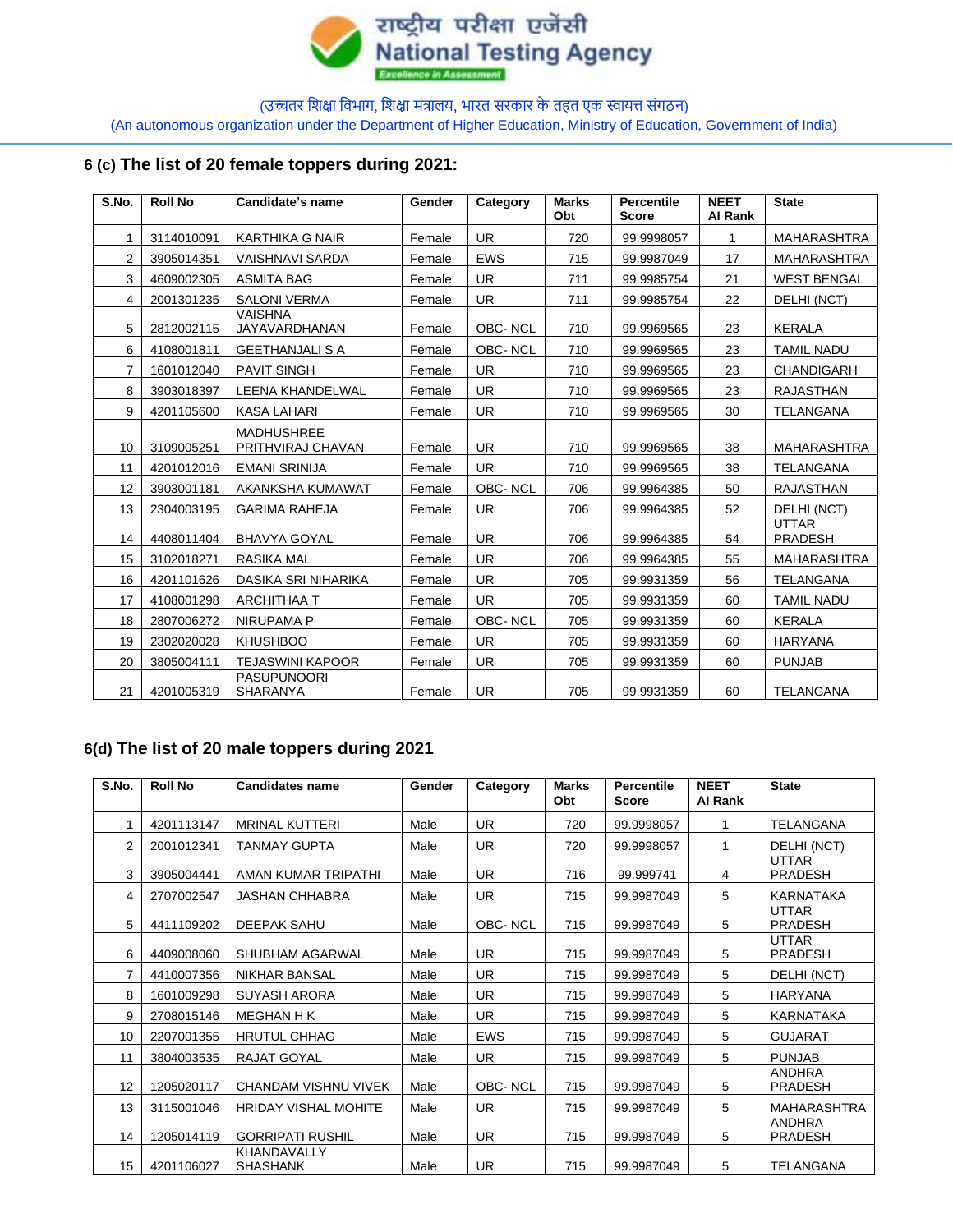

(An autonomous organization under the Department of Higher Education, Ministry of Education, Government of India)

# **6 (c) The list of 20 female toppers during 2021:**

| S.No.          | <b>Roll No</b> | Candidate's name                       | Gender | Category   | <b>Marks</b><br>Obt | <b>Percentile</b><br><b>Score</b> | <b>NEET</b><br><b>AI Rank</b> | <b>State</b>                   |
|----------------|----------------|----------------------------------------|--------|------------|---------------------|-----------------------------------|-------------------------------|--------------------------------|
| 1              | 3114010091     | <b>KARTHIKA G NAIR</b>                 | Female | <b>UR</b>  | 720                 | 99.9998057                        | 1                             | <b>MAHARASHTRA</b>             |
| 2              | 3905014351     | <b>VAISHNAVI SARDA</b>                 | Female | <b>EWS</b> | 715                 | 99.9987049                        | 17                            | MAHARASHTRA                    |
| 3              | 4609002305     | ASMITA BAG                             | Female | <b>UR</b>  | 711                 | 99.9985754                        | 21                            | <b>WEST BENGAL</b>             |
| 4              | 2001301235     | <b>SALONI VERMA</b>                    | Female | UR.        | 711                 | 99.9985754                        | 22                            | DELHI (NCT)                    |
| 5              | 2812002115     | <b>VAISHNA</b><br>JAYAVARDHANAN        | Female | OBC-NCL    | 710                 | 99.9969565                        | 23                            | <b>KERALA</b>                  |
| 6              | 4108001811     | <b>GEETHANJALI S A</b>                 | Female | OBC-NCL    | 710                 | 99.9969565                        | 23                            | <b>TAMIL NADU</b>              |
| $\overline{7}$ | 1601012040     | <b>PAVIT SINGH</b>                     | Female | <b>UR</b>  | 710                 | 99.9969565                        | 23                            | <b>CHANDIGARH</b>              |
| 8              | 3903018397     | LEENA KHANDELWAL                       | Female | <b>UR</b>  | 710                 | 99.9969565                        | 23                            | <b>RAJASTHAN</b>               |
| 9              | 4201105600     | <b>KASA LAHARI</b>                     | Female | <b>UR</b>  | 710                 | 99.9969565                        | 30                            | <b>TELANGANA</b>               |
| 10             | 3109005251     | <b>MADHUSHREE</b><br>PRITHVIRAJ CHAVAN | Female | <b>UR</b>  | 710                 | 99.9969565                        | 38                            | <b>MAHARASHTRA</b>             |
| 11             | 4201012016     | <b>EMANI SRINIJA</b>                   | Female | <b>UR</b>  | 710                 | 99.9969565                        | 38                            | <b>TELANGANA</b>               |
| 12             | 3903001181     | AKANKSHA KUMAWAT                       | Female | OBC-NCL    | 706                 | 99.9964385                        | 50                            | <b>RAJASTHAN</b>               |
| 13             | 2304003195     | <b>GARIMA RAHEJA</b>                   | Female | <b>UR</b>  | 706                 | 99.9964385                        | 52                            | DELHI (NCT)                    |
| 14             | 4408011404     | <b>BHAVYA GOYAL</b>                    | Female | <b>UR</b>  | 706                 | 99.9964385                        | 54                            | <b>UTTAR</b><br><b>PRADESH</b> |
| 15             | 3102018271     | <b>RASIKA MAL</b>                      | Female | <b>UR</b>  | 706                 | 99.9964385                        | 55                            | <b>MAHARASHTRA</b>             |
| 16             | 4201101626     | DASIKA SRI NIHARIKA                    | Female | <b>UR</b>  | 705                 | 99.9931359                        | 56                            | <b>TELANGANA</b>               |
| 17             | 4108001298     | <b>ARCHITHAA T</b>                     | Female | <b>UR</b>  | 705                 | 99.9931359                        | 60                            | <b>TAMIL NADU</b>              |
| 18             | 2807006272     | NIRUPAMA P                             | Female | OBC-NCL    | 705                 | 99.9931359                        | 60                            | <b>KERALA</b>                  |
| 19             | 2302020028     | <b>KHUSHBOO</b>                        | Female | <b>UR</b>  | 705                 | 99.9931359                        | 60                            | <b>HARYANA</b>                 |
| 20             | 3805004111     | <b>TEJASWINI KAPOOR</b>                | Female | <b>UR</b>  | 705                 | 99.9931359                        | 60                            | <b>PUNJAB</b>                  |
| 21             | 4201005319     | <b>PASUPUNOORI</b><br><b>SHARANYA</b>  | Female | <b>UR</b>  | 705                 | 99.9931359                        | 60                            | <b>TELANGANA</b>               |

# **6(d) The list of 20 male toppers during 2021**

| S.No. | <b>Roll No</b> | <b>Candidates name</b>                | Gender | Category   | <b>Marks</b><br>Obt | <b>Percentile</b><br><b>Score</b> | <b>NEET</b><br>Al Rank | <b>State</b>                    |
|-------|----------------|---------------------------------------|--------|------------|---------------------|-----------------------------------|------------------------|---------------------------------|
|       | 4201113147     | <b>MRINAL KUTTERI</b>                 | Male   | UR.        | 720                 | 99.9998057                        | 1                      | TELANGANA                       |
| 2     | 2001012341     | <b>TANMAY GUPTA</b>                   | Male   | <b>UR</b>  | 720                 | 99.9998057                        | 1                      | DELHI (NCT)                     |
| 3     | 3905004441     | AMAN KUMAR TRIPATHI                   | Male   | UR.        | 716                 | 99.999741                         | 4                      | <b>UTTAR</b><br><b>PRADESH</b>  |
| 4     | 2707002547     | <b>JASHAN CHHABRA</b>                 | Male   | UR.        | 715                 | 99.9987049                        | 5                      | <b>KARNATAKA</b>                |
| 5     | 4411109202     | DEEPAK SAHU                           | Male   | OBC-NCL    | 715                 | 99.9987049                        | 5                      | <b>UTTAR</b><br><b>PRADESH</b>  |
| 6     | 4409008060     | SHUBHAM AGARWAL                       | Male   | <b>UR</b>  | 715                 | 99.9987049                        | 5                      | <b>UTTAR</b><br><b>PRADESH</b>  |
| 7     | 4410007356     | <b>NIKHAR BANSAL</b>                  | Male   | UR.        | 715                 | 99.9987049                        | 5                      | DELHI (NCT)                     |
| 8     | 1601009298     | <b>SUYASH ARORA</b>                   | Male   | <b>UR</b>  | 715                 | 99.9987049                        | 5                      | <b>HARYANA</b>                  |
| 9     | 2708015146     | <b>MEGHAN H K</b>                     | Male   | UR.        | 715                 | 99.9987049                        | 5                      | KARNATAKA                       |
| 10    | 2207001355     | <b>HRUTUL CHHAG</b>                   | Male   | <b>EWS</b> | 715                 | 99.9987049                        | 5                      | <b>GUJARAT</b>                  |
| 11    | 3804003535     | RAJAT GOYAL                           | Male   | <b>UR</b>  | 715                 | 99.9987049                        | 5                      | <b>PUNJAB</b>                   |
| 12    | 1205020117     | CHANDAM VISHNU VIVEK                  | Male   | OBC-NCL    | 715                 | 99.9987049                        | 5                      | <b>ANDHRA</b><br><b>PRADESH</b> |
| 13    | 3115001046     | <b>HRIDAY VISHAL MOHITE</b>           | Male   | UR.        | 715                 | 99.9987049                        | 5                      | <b>MAHARASHTRA</b>              |
| 14    | 1205014119     | <b>GORRIPATI RUSHIL</b>               | Male   | <b>UR</b>  | 715                 | 99.9987049                        | 5                      | <b>ANDHRA</b><br><b>PRADESH</b> |
| 15    | 4201106027     | <b>KHANDAVALLY</b><br><b>SHASHANK</b> | Male   | UR.        | 715                 | 99.9987049                        | 5                      | <b>TELANGANA</b>                |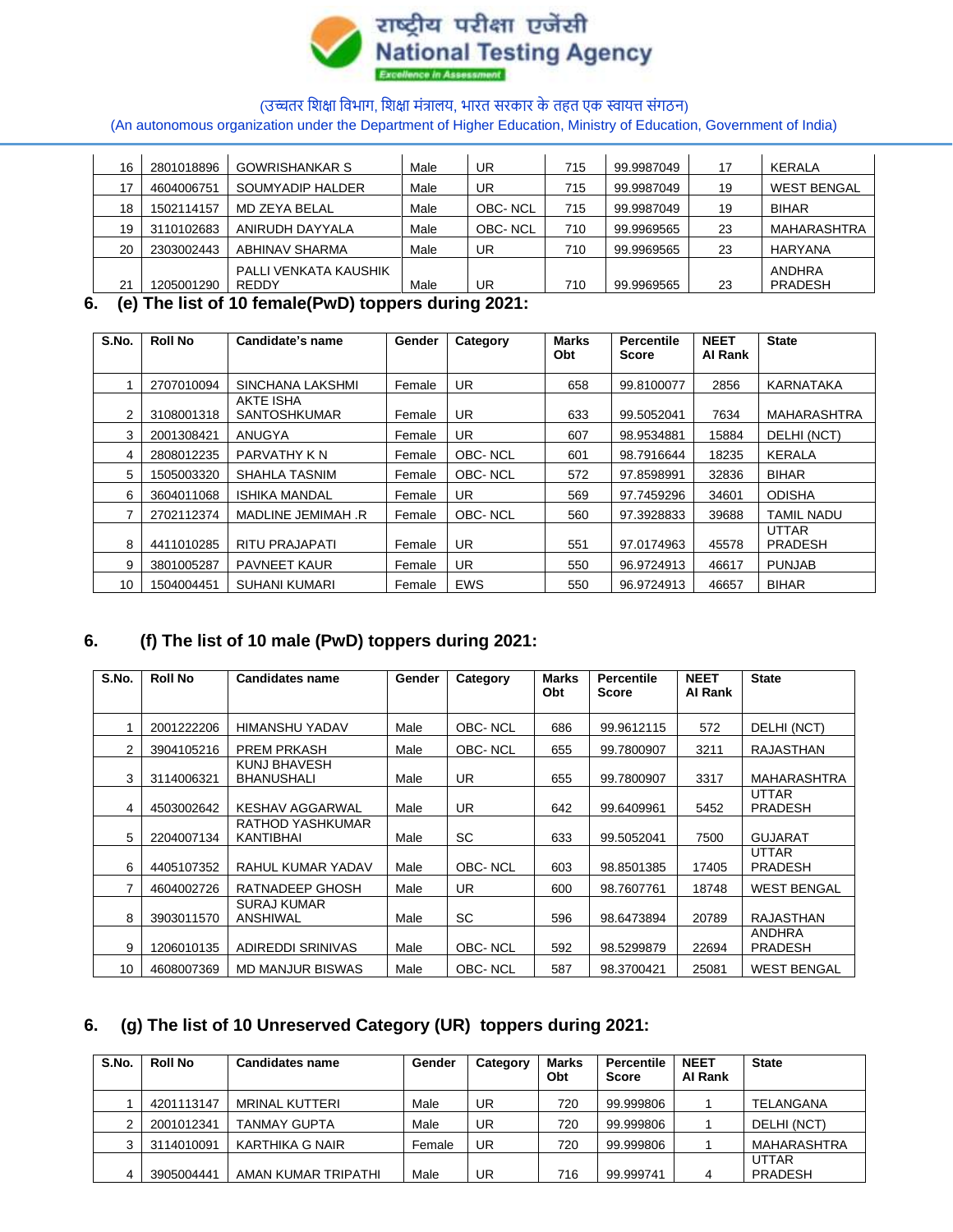

(An autonomous organization under the Department of Higher Education, Ministry of Education, Government of India)

| 16 | 2801018896 | <b>GOWRISHANKAR S</b> | Male | UR      | 715 | 99.9987049 | 17 | KERALA             |
|----|------------|-----------------------|------|---------|-----|------------|----|--------------------|
|    | 4604006751 | SOUMYADIP HALDER      | Male | UR      | 715 | 99.9987049 | 19 | <b>WEST BENGAL</b> |
| 18 | 1502114157 | MD ZEYA BELAL         | Male | OBC-NCL | 715 | 99.9987049 | 19 | <b>BIHAR</b>       |
| 19 | 3110102683 | ANIRUDH DAYYALA       | Male | OBC-NCL | 710 | 99.9969565 | 23 | <b>MAHARASHTRA</b> |
| 20 | 2303002443 | ABHINAV SHARMA        | Male | UR      | 710 | 99.9969565 | 23 | <b>HARYANA</b>     |
|    |            | PALLI VENKATA KAUSHIK |      |         |     |            |    | ANDHRA             |
| 21 | 1205001290 | <b>REDDY</b>          | Male | UR      | 710 | 99.9969565 | 23 | <b>PRADESH</b>     |

### **6. (e) The list of 10 female(PwD) toppers during 2021:**

| S.No. | <b>Roll No</b> | Candidate's name                 | Gender | Category   | <b>Marks</b><br><b>Obt</b> | Percentile<br>Score | <b>NEET</b><br>Al Rank | <b>State</b>                   |
|-------|----------------|----------------------------------|--------|------------|----------------------------|---------------------|------------------------|--------------------------------|
|       | 2707010094     | SINCHANA LAKSHMI                 | Female | UR         | 658                        | 99.8100077          | 2856                   | KARNATAKA                      |
| 2     | 3108001318     | AKTE ISHA<br><b>SANTOSHKUMAR</b> | Female | UR.        | 633                        | 99.5052041          | 7634                   | <b>MAHARASHTRA</b>             |
| 3     | 2001308421     | ANUGYA                           | Female | UR.        | 607                        | 98.9534881          | 15884                  | DELHI (NCT)                    |
| 4     | 2808012235     | PARVATHY KN                      | Female | OBC-NCL    | 601                        | 98.7916644          | 18235                  | <b>KERALA</b>                  |
| 5.    | 1505003320     | SHAHLA TASNIM                    | Female | OBC-NCL    | 572                        | 97.8598991          | 32836                  | <b>BIHAR</b>                   |
| 6     | 3604011068     | <b>ISHIKA MANDAL</b>             | Female | UR.        | 569                        | 97.7459296          | 34601                  | <b>ODISHA</b>                  |
|       | 2702112374     | MADLINE JEMIMAH.R                | Female | OBC-NCL    | 560                        | 97.3928833          | 39688                  | <b>TAMIL NADU</b>              |
| 8     | 4411010285     | RITU PRAJAPATI                   | Female | UR.        | 551                        | 97.0174963          | 45578                  | <b>UTTAR</b><br><b>PRADESH</b> |
| 9     | 3801005287     | <b>PAVNEET KAUR</b>              | Female | UR.        | 550                        | 96.9724913          | 46617                  | <b>PUNJAB</b>                  |
| 10    | 1504004451     | <b>SUHANI KUMARI</b>             | Female | <b>EWS</b> | 550                        | 96.9724913          | 46657                  | <b>BIHAR</b>                   |

# **6. (f) The list of 10 male (PwD) toppers during 2021:**

| S.No.          | <b>Roll No</b> | <b>Candidates name</b>               | Gender | Category       | <b>Marks</b><br>Obt | <b>Percentile</b><br><b>Score</b> | <b>NEET</b><br>Al Rank | <b>State</b>                    |
|----------------|----------------|--------------------------------------|--------|----------------|---------------------|-----------------------------------|------------------------|---------------------------------|
|                | 2001222206     | <b>HIMANSHU YADAV</b>                | Male   | OBC-NCL        | 686                 | 99.9612115                        | 572                    | DELHI (NCT)                     |
| $\overline{2}$ | 3904105216     | <b>PREM PRKASH</b>                   | Male   | <b>OBC-NCL</b> | 655                 | 99.7800907                        | 3211                   | <b>RAJASTHAN</b>                |
| 3              | 3114006321     | KUNJ BHAVESH<br><b>BHANUSHALI</b>    | Male   | UR.            | 655                 | 99.7800907                        | 3317                   | <b>MAHARASHTRA</b>              |
| 4              | 4503002642     | KESHAV AGGARWAL                      | Male   | <b>UR</b>      | 642                 | 99.6409961                        | 5452                   | <b>UTTAR</b><br><b>PRADESH</b>  |
| 5              | 2204007134     | RATHOD YASHKUMAR<br><b>KANTIBHAI</b> | Male   | SC             | 633                 | 99.5052041                        | 7500                   | <b>GUJARAT</b>                  |
| 6              | 4405107352     | RAHUL KUMAR YADAV                    | Male   | <b>OBC-NCL</b> | 603                 | 98.8501385                        | 17405                  | <b>UTTAR</b><br><b>PRADESH</b>  |
|                | 4604002726     | RATNADEEP GHOSH                      | Male   | <b>UR</b>      | 600                 | 98.7607761                        | 18748                  | <b>WEST BENGAL</b>              |
| 8              | 3903011570     | <b>SURAJ KUMAR</b><br>ANSHIWAL       | Male   | SC             | 596                 | 98.6473894                        | 20789                  | RAJASTHAN                       |
| 9              | 1206010135     | ADIREDDI SRINIVAS                    | Male   | OBC-NCL        | 592                 | 98.5299879                        | 22694                  | <b>ANDHRA</b><br><b>PRADESH</b> |
| 10             | 4608007369     | <b>MD MANJUR BISWAS</b>              | Male   | <b>OBC-NCL</b> | 587                 | 98.3700421                        | 25081                  | <b>WEST BENGAL</b>              |

# **6. (g) The list of 10 Unreserved Category (UR) toppers during 2021:**

| S.No. | <b>Roll No</b> | <b>Candidates name</b> | Gender | Category | <b>Marks</b><br>Obt | <b>Percentile</b><br><b>Score</b> | <b>NEET</b><br>Al Rank | <b>State</b>                   |
|-------|----------------|------------------------|--------|----------|---------------------|-----------------------------------|------------------------|--------------------------------|
|       | 4201113147     | <b>MRINAL KUTTERI</b>  | Male   | UR       | 720                 | 99.999806                         |                        | TELANGANA                      |
|       | 2001012341     | <b>TANMAY GUPTA</b>    | Male   | UR       | 720                 | 99.999806                         |                        | DELHI (NCT)                    |
|       | 3114010091     | KARTHIKA G NAIR        | Female | UR       | 720                 | 99.999806                         |                        | MAHARASHTRA                    |
|       | 3905004441     | AMAN KUMAR TRIPATHI    | Male   | UR       | 716                 | 99.999741                         | 4                      | <b>UTTAR</b><br><b>PRADESH</b> |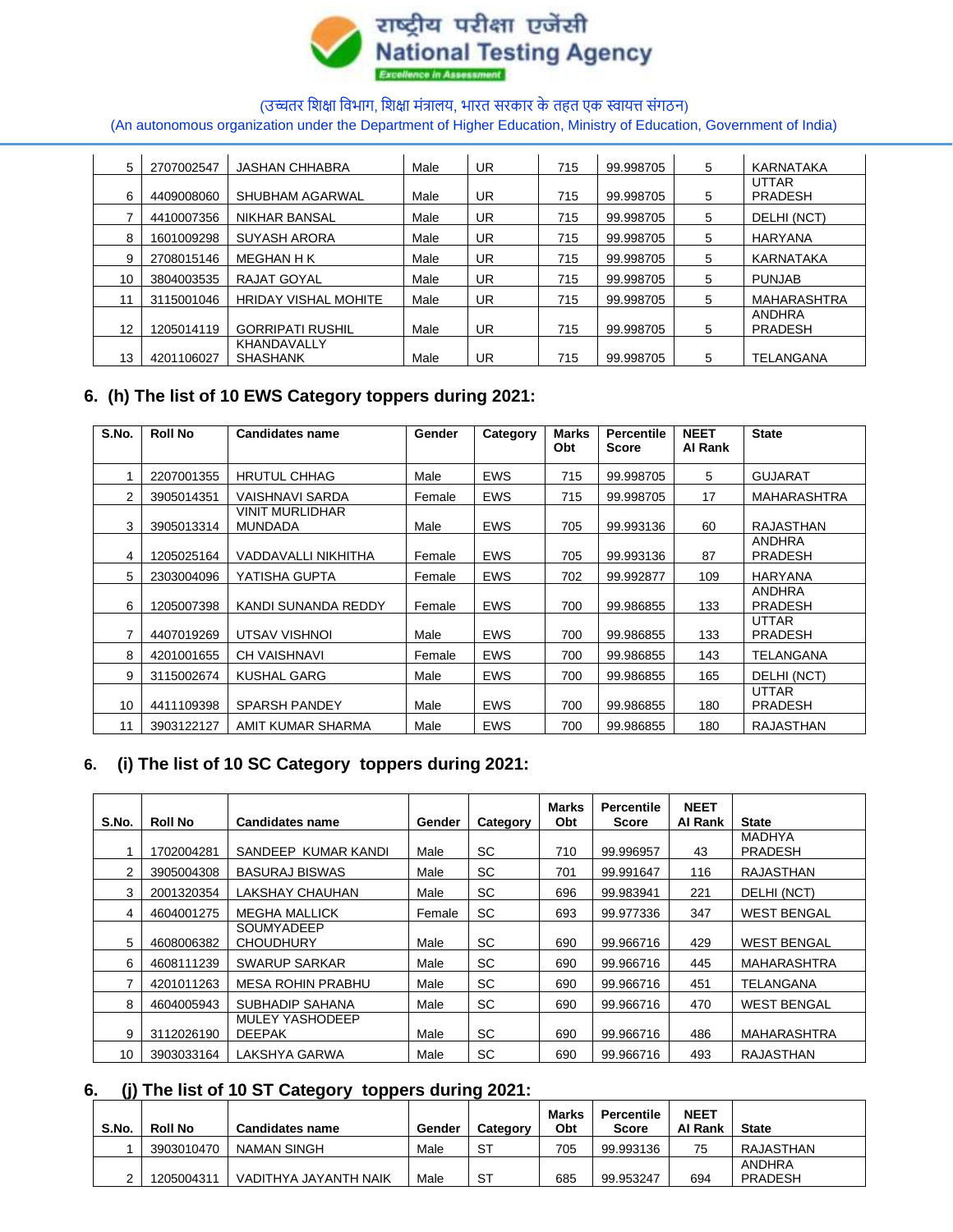

(An autonomous organization under the Department of Higher Education, Ministry of Education, Government of India)

| 5  | 2707002547 | <b>JASHAN CHHABRA</b>          | Male | <b>UR</b> | 715 | 99.998705 | 5 | KARNATAKA                       |
|----|------------|--------------------------------|------|-----------|-----|-----------|---|---------------------------------|
| 6  | 4409008060 | SHUBHAM AGARWAL                | Male | <b>UR</b> | 715 | 99.998705 | 5 | <b>UTTAR</b><br><b>PRADESH</b>  |
|    | 4410007356 | <b>NIKHAR BANSAL</b>           | Male | UR        | 715 | 99.998705 | 5 | DELHI (NCT)                     |
| 8  | 1601009298 | <b>SUYASH ARORA</b>            | Male | <b>UR</b> | 715 | 99.998705 | 5 | <b>HARYANA</b>                  |
| 9  | 2708015146 | <b>MEGHAN H K</b>              | Male | <b>UR</b> | 715 | 99.998705 | 5 | KARNATAKA                       |
| 10 | 3804003535 | RAJAT GOYAL                    | Male | <b>UR</b> | 715 | 99.998705 | 5 | <b>PUNJAB</b>                   |
| 11 | 3115001046 | <b>HRIDAY VISHAL MOHITE</b>    | Male | <b>UR</b> | 715 | 99.998705 | 5 | <b>MAHARASHTRA</b>              |
| 12 | 1205014119 | <b>GORRIPATI RUSHIL</b>        | Male | <b>UR</b> | 715 | 99.998705 | 5 | <b>ANDHRA</b><br><b>PRADESH</b> |
| 13 | 4201106027 | KHANDAVALLY<br><b>SHASHANK</b> | Male | <b>UR</b> | 715 | 99.998705 | 5 | TELANGANA                       |

# **6. (h) The list of 10 EWS Category toppers during 2021:**

| S.No. | <b>Roll No</b> | <b>Candidates name</b>                   | Gender | Category   | Marks<br>Obt | <b>Percentile</b><br><b>Score</b> | <b>NEET</b><br>Al Rank | <b>State</b>                    |
|-------|----------------|------------------------------------------|--------|------------|--------------|-----------------------------------|------------------------|---------------------------------|
|       | 2207001355     | <b>HRUTUL CHHAG</b>                      | Male   | <b>EWS</b> | 715          | 99.998705                         | 5                      | <b>GUJARAT</b>                  |
| 2     | 3905014351     | VAISHNAVI SARDA                          | Female | <b>EWS</b> | 715          | 99.998705                         | 17                     | MAHARASHTRA                     |
| 3     | 3905013314     | <b>VINIT MURLIDHAR</b><br><b>MUNDADA</b> | Male   | <b>EWS</b> | 705          | 99.993136                         | 60                     | <b>RAJASTHAN</b>                |
| 4     | 1205025164     | VADDAVALLI NIKHITHA                      | Female | <b>EWS</b> | 705          | 99.993136                         | 87                     | <b>ANDHRA</b><br><b>PRADESH</b> |
| 5     | 2303004096     | YATISHA GUPTA                            | Female | <b>EWS</b> | 702          | 99.992877                         | 109                    | <b>HARYANA</b>                  |
| 6     | 1205007398     | KANDI SUNANDA REDDY                      | Female | <b>EWS</b> | 700          | 99.986855                         | 133                    | <b>ANDHRA</b><br>PRADESH        |
|       | 4407019269     | UTSAV VISHNOI                            | Male   | <b>EWS</b> | 700          | 99.986855                         | 133                    | <b>UTTAR</b><br><b>PRADESH</b>  |
| 8     | 4201001655     | <b>CH VAISHNAVI</b>                      | Female | <b>EWS</b> | 700          | 99.986855                         | 143                    | TELANGANA                       |
| 9     | 3115002674     | <b>KUSHAL GARG</b>                       | Male   | <b>EWS</b> | 700          | 99.986855                         | 165                    | DELHI (NCT)                     |
| 10    | 4411109398     | <b>SPARSH PANDEY</b>                     | Male   | <b>EWS</b> | 700          | 99.986855                         | 180                    | <b>UTTAR</b><br><b>PRADESH</b>  |
| 11    | 3903122127     | AMIT KUMAR SHARMA                        | Male   | <b>EWS</b> | 700          | 99.986855                         | 180                    | <b>RAJASTHAN</b>                |

# **6. (i) The list of 10 SC Category toppers during 2021:**

| S.No. | <b>Roll No</b> | <b>Candidates name</b>           | Gender | Category | Marks<br>Obt | Percentile<br><b>Score</b> | <b>NEET</b><br>Al Rank | <b>State</b>       |
|-------|----------------|----------------------------------|--------|----------|--------------|----------------------------|------------------------|--------------------|
|       | 1702004281     | SANDEEP KUMAR KANDI              |        |          |              |                            | 43                     | <b>MADHYA</b>      |
|       |                |                                  | Male   | SC.      | 710          | 99.996957                  |                        | <b>PRADESH</b>     |
| 2     | 3905004308     | <b>BASURAJ BISWAS</b>            | Male   | SC.      | 701          | 99.991647                  | 116                    | RAJASTHAN          |
| 3     | 2001320354     | LAKSHAY CHAUHAN                  | Male   | SC       | 696          | 99.983941                  | 221                    | DELHI (NCT)        |
| 4     | 4604001275     | <b>MEGHA MALLICK</b>             | Female | SC       | 693          | 99.977336                  | 347                    | <b>WEST BENGAL</b> |
| 5     | 4608006382     | SOUMYADEEP<br><b>CHOUDHURY</b>   | Male   | SC       | 690          | 99.966716                  | 429                    | <b>WEST BENGAL</b> |
| 6     | 4608111239     | <b>SWARUP SARKAR</b>             | Male   | SC       | 690          | 99.966716                  | 445                    | MAHARASHTRA        |
|       | 4201011263     | MESA ROHIN PRABHU                | Male   | SC       | 690          | 99.966716                  | 451                    | TELANGANA          |
| 8     | 4604005943     | SUBHADIP SAHANA                  | Male   | SC.      | 690          | 99.966716                  | 470                    | <b>WEST BENGAL</b> |
| 9     | 3112026190     | MULEY YASHODEEP<br><b>DEEPAK</b> | Male   | SC.      | 690          | 99.966716                  | 486                    | MAHARASHTRA        |
| 10    | 3903033164     | LAKSHYA GARWA                    | Male   | SC       | 690          | 99.966716                  | 493                    | RAJASTHAN          |

### **6. (j) The list of 10 ST Category toppers during 2021:**

| S.No. | <b>Roll No</b> | <b>Candidates name</b> | Gender | Category | Marks<br>Obt | Percentile<br><b>Score</b> | <b>NEET</b><br>Al Rank | <b>State</b>             |
|-------|----------------|------------------------|--------|----------|--------------|----------------------------|------------------------|--------------------------|
|       | 3903010470     | NAMAN SINGH            | Male   | ST       | 705          | 99.993136                  | 75                     | RAJASTHAN                |
|       | 1205004311     | VADITHYA JAYANTH NAIK  | Male   | ST       | 685          | 99.953247                  | 694                    | ANDHRA<br><b>PRADESH</b> |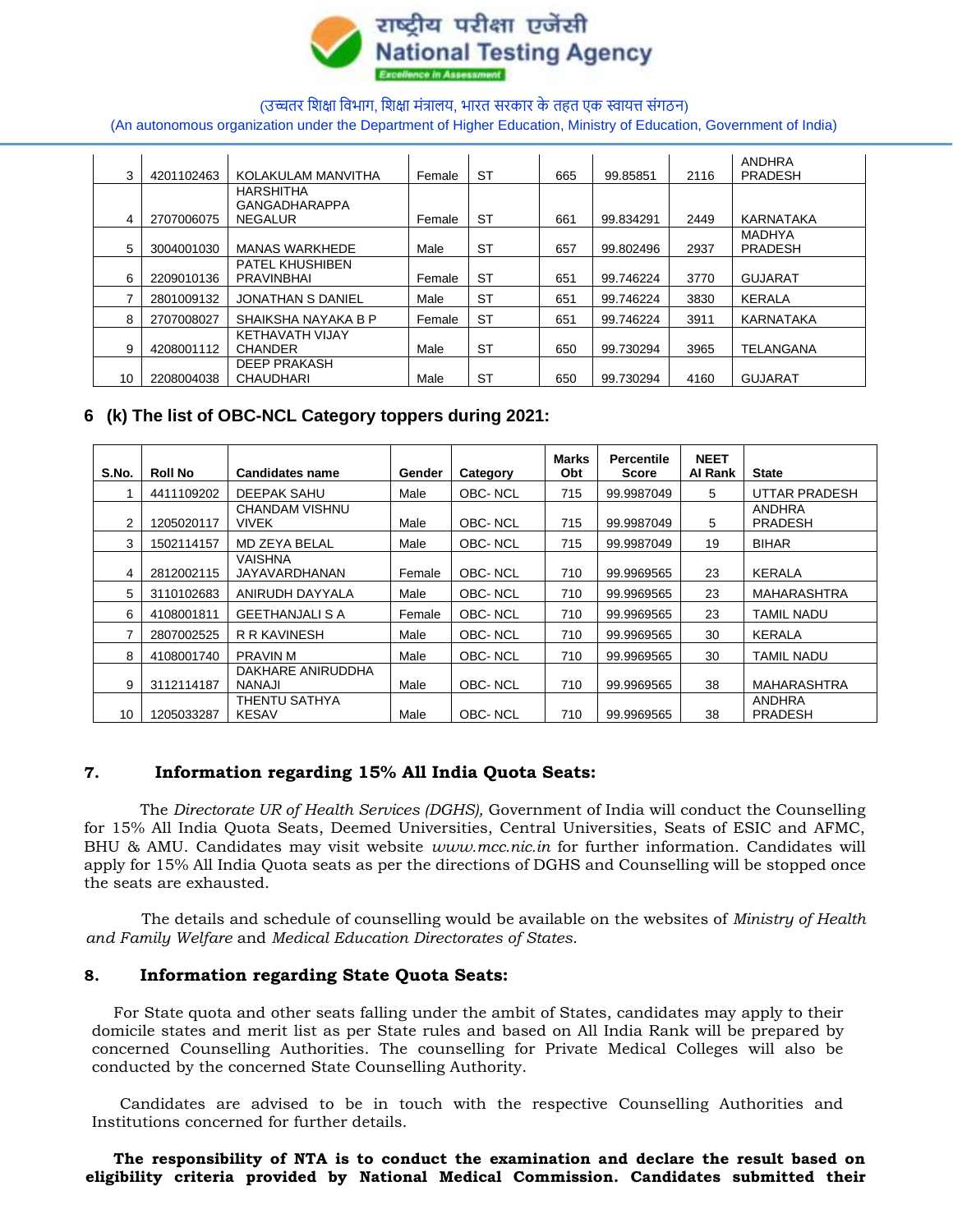

(An autonomous organization under the Department of Higher Education, Ministry of Education, Government of India)

| 3  | 4201102463 | KOLAKULAM MANVITHA                          | Female | <b>ST</b> | 665 | 99.85851  | 2116 | ANDHRA<br><b>PRADESH</b>        |
|----|------------|---------------------------------------------|--------|-----------|-----|-----------|------|---------------------------------|
|    |            | <b>HARSHITHA</b><br><b>GANGADHARAPPA</b>    |        |           |     |           |      |                                 |
| 4  | 2707006075 | <b>NEGALUR</b>                              | Female | <b>ST</b> | 661 | 99.834291 | 2449 | KARNATAKA                       |
| 5  | 3004001030 | <b>MANAS WARKHEDE</b>                       | Male   | <b>ST</b> | 657 | 99.802496 | 2937 | <b>MADHYA</b><br><b>PRADESH</b> |
| 6  | 2209010136 | <b>PATEL KHUSHIBEN</b><br><b>PRAVINBHAI</b> | Female | <b>ST</b> | 651 | 99.746224 | 3770 | <b>GUJARAT</b>                  |
|    |            |                                             |        |           |     |           |      |                                 |
|    | 2801009132 | <b>JONATHAN S DANIEL</b>                    | Male   | <b>ST</b> | 651 | 99.746224 | 3830 | KERALA                          |
| 8  | 2707008027 | SHAIKSHA NAYAKA B P                         | Female | <b>ST</b> | 651 | 99.746224 | 3911 | KARNATAKA                       |
| 9  | 4208001112 | KETHAVATH VIJAY<br><b>CHANDER</b>           | Male   | <b>ST</b> | 650 | 99.730294 | 3965 | TELANGANA                       |
| 10 | 2208004038 | <b>DEEP PRAKASH</b><br><b>CHAUDHARI</b>     | Male   | ST        | 650 | 99.730294 | 4160 | <b>GUJARAT</b>                  |

### **6 (k) The list of OBC-NCL Category toppers during 2021:**

| S.No. | <b>Roll No</b> | <b>Candidates name</b>                | Gender | Category | Marks<br>Obt | <b>Percentile</b><br><b>Score</b> | <b>NEET</b><br>Al Rank | <b>State</b>                    |
|-------|----------------|---------------------------------------|--------|----------|--------------|-----------------------------------|------------------------|---------------------------------|
|       | 4411109202     | DEEPAK SAHU                           | Male   | OBC-NCL  | 715          | 99.9987049                        | 5.                     | UTTAR PRADESH                   |
|       | 1205020117     | <b>CHANDAM VISHNU</b><br><b>VIVEK</b> | Male   | OBC-NCL  | 715          | 99.9987049                        | 5                      | <b>ANDHRA</b><br><b>PRADESH</b> |
| 3     | 1502114157     | <b>MD ZEYA BELAL</b>                  | Male   | OBC-NCL  | 715          | 99.9987049                        | 19                     | <b>BIHAR</b>                    |
| 4     | 2812002115     | VAISHNA<br><b>JAYAVARDHANAN</b>       | Female | OBC-NCL  | 710          | 99.9969565                        | 23                     | <b>KERALA</b>                   |
| 5     | 3110102683     | ANIRUDH DAYYALA                       | Male   | OBC-NCL  | 710          | 99.9969565                        | 23                     | <b>MAHARASHTRA</b>              |
| 6     | 4108001811     | <b>GEETHANJALI S A</b>                | Female | OBC-NCL  | 710          | 99.9969565                        | 23                     | TAMIL NADU                      |
|       | 2807002525     | R R KAVINESH                          | Male   | OBC-NCL  | 710          | 99.9969565                        | 30                     | <b>KERALA</b>                   |
| 8     | 4108001740     | <b>PRAVIN M</b>                       | Male   | OBC-NCL  | 710          | 99.9969565                        | 30                     | TAMIL NADU                      |
| 9     | 3112114187     | DAKHARE ANIRUDDHA<br><b>NANAJI</b>    | Male   | OBC-NCL  | 710          | 99.9969565                        | 38                     | MAHARASHTRA                     |
| 10    | 1205033287     | THENTU SATHYA<br><b>KESAV</b>         | Male   | OBC-NCL  | 710          | 99.9969565                        | 38                     | <b>ANDHRA</b><br><b>PRADESH</b> |

### **7. Information regarding 15% All India Quota Seats:**

The *Directorate UR of Health Services (DGHS),* Government of India will conduct the Counselling for 15% All India Quota Seats, Deemed Universities, Central Universities, Seats of ESIC and AFMC, BHU & AMU. Candidates may visit website *www.mcc.nic.in* for further information. Candidates will apply for 15% All India Quota seats as per the directions of DGHS and Counselling will be stopped once the seats are exhausted.

The details and schedule of counselling would be available on the websites of *Ministry of Health and Family Welfare* and *Medical Education Directorates of States*.

### **8. Information regarding State Quota Seats:**

For State quota and other seats falling under the ambit of States, candidates may apply to their domicile states and merit list as per State rules and based on All India Rank will be prepared by concerned Counselling Authorities. The counselling for Private Medical Colleges will also be conducted by the concerned State Counselling Authority.

Candidates are advised to be in touch with the respective Counselling Authorities and Institutions concerned for further details.

#### **The responsibility of NTA is to conduct the examination and declare the result based on eligibility criteria provided by National Medical Commission. Candidates submitted their**